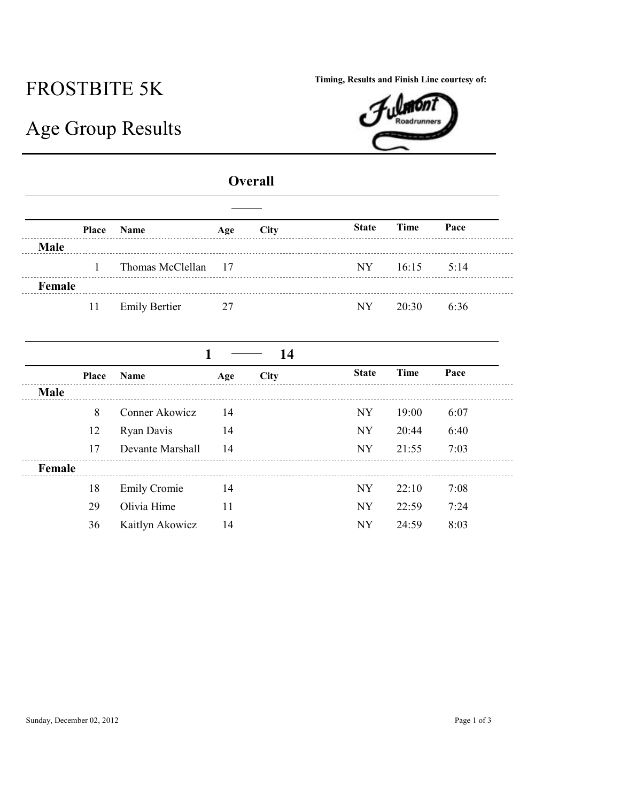## FROSTBITE 5K

**Timing, Results and Finish Line courtesy of:**

| m <sub>n</sub> |
|----------------|
| . .<br>IJ      |
|                |
|                |

## Age Group Results

## **Overall**

|             |    | Place Name           | Age | City | State Time    | Pace |
|-------------|----|----------------------|-----|------|---------------|------|
| <b>Male</b> |    |                      |     |      |               |      |
|             |    | Thomas McClellan 17  |     |      | NY 16:15 5:14 |      |
| Female      |    |                      |     |      |               |      |
|             | 11 | <b>Emily Bertier</b> | 27  |      | $NY = 20.30$  | 6:36 |

|             |              |                     |     | -14         |              |       |      |
|-------------|--------------|---------------------|-----|-------------|--------------|-------|------|
|             | <b>Place</b> | <b>Name</b>         | Age | <b>City</b> | <b>State</b> | Time  | Pace |
| <b>Male</b> |              |                     |     |             |              |       |      |
|             | 8            | Conner Akowicz      | 14  |             | <b>NY</b>    | 19:00 | 6:07 |
|             | 12           | Ryan Davis          | 14  |             | <b>NY</b>    | 20:44 | 6:40 |
|             | 17           | Devante Marshall    | 14  |             | <b>NY</b>    | 21:55 | 7:03 |
| Female      |              |                     |     |             |              |       |      |
|             | 18           | <b>Emily Cromie</b> | 14  |             | NY           | 22:10 | 7:08 |
|             | 29           | Olivia Hime         | 11  |             | <b>NY</b>    | 22:59 | 7:24 |
|             | 36           | Kaitlyn Akowicz     | 14  |             | NY           | 24:59 | 8:03 |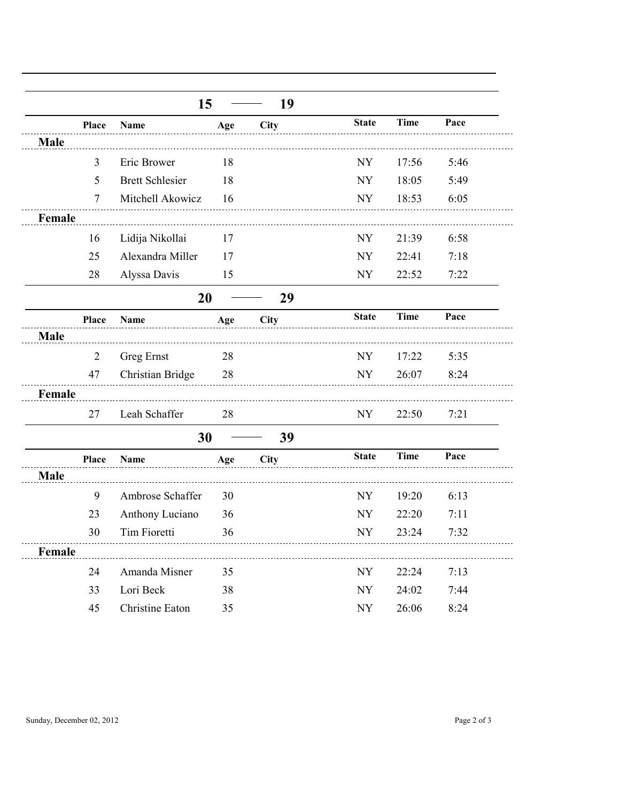|             |                | 15                     |     | 19          |              |             |      |
|-------------|----------------|------------------------|-----|-------------|--------------|-------------|------|
|             | Place          | Name                   | Age | City        | <b>State</b> | <b>Time</b> | Pace |
| <b>Male</b> |                |                        |     |             |              |             |      |
|             | $\overline{3}$ | Eric Brower            | 18  |             | <b>NY</b>    | 17:56       | 5:46 |
|             | 5              | <b>Brett Schlesier</b> | 18  |             | <b>NY</b>    | 18:05       | 5:49 |
|             | $\overline{7}$ | Mitchell Akowicz       | 16  |             | <b>NY</b>    | 18:53       | 6:05 |
| Female      |                |                        |     |             |              |             |      |
|             | 16             | Lidija Nikollai        | 17  |             | <b>NY</b>    | 21:39       | 6:58 |
|             | 25             | Alexandra Miller       | 17  |             | <b>NY</b>    | 22:41       | 7:18 |
|             | 28             | Alyssa Davis           | 15  |             | NY           | 22:52       | 7:22 |
|             |                | 20                     |     | 29          |              |             |      |
|             | Place          | Name                   | Age | City        | <b>State</b> | <b>Time</b> | Pace |
| Male        |                |                        |     |             |              |             |      |
|             | $\overline{2}$ | Greg Ernst             | 28  |             | NY           | 17:22       | 5:35 |
|             | 47             | Christian Bridge       | 28  |             | <b>NY</b>    | 26:07       | 8:24 |
| Female      |                |                        |     |             |              |             |      |
|             | 27             | Leah Schaffer          | 28  |             | NY           | 22:50       | 7:21 |
|             |                | 30                     |     | 39          |              |             |      |
|             | Place          | Name                   | Age | <b>City</b> | <b>State</b> | <b>Time</b> | Pace |
| Male        |                |                        |     |             |              |             |      |
|             | 9              | Ambrose Schaffer       | 30  |             | <b>NY</b>    | 19:20       | 6:13 |
|             | 23             | Anthony Luciano        | 36  |             | <b>NY</b>    | 22:20       | 7:11 |
|             | 30             | Tim Fioretti           | 36  |             | NY           | 23:24       | 7:32 |
| Female      |                |                        |     |             |              |             |      |
|             | 24             | Amanda Misner          | 35  |             | <b>NY</b>    | 22:24       | 7:13 |
|             | 33             | Lori Beck              | 38  |             | <b>NY</b>    | 24:02       | 7:44 |
|             | 45             | Christine Eaton        | 35  |             | <b>NY</b>    | 26:06       | 8:24 |

Sunday, December 02, 2012 Page 2 of 3